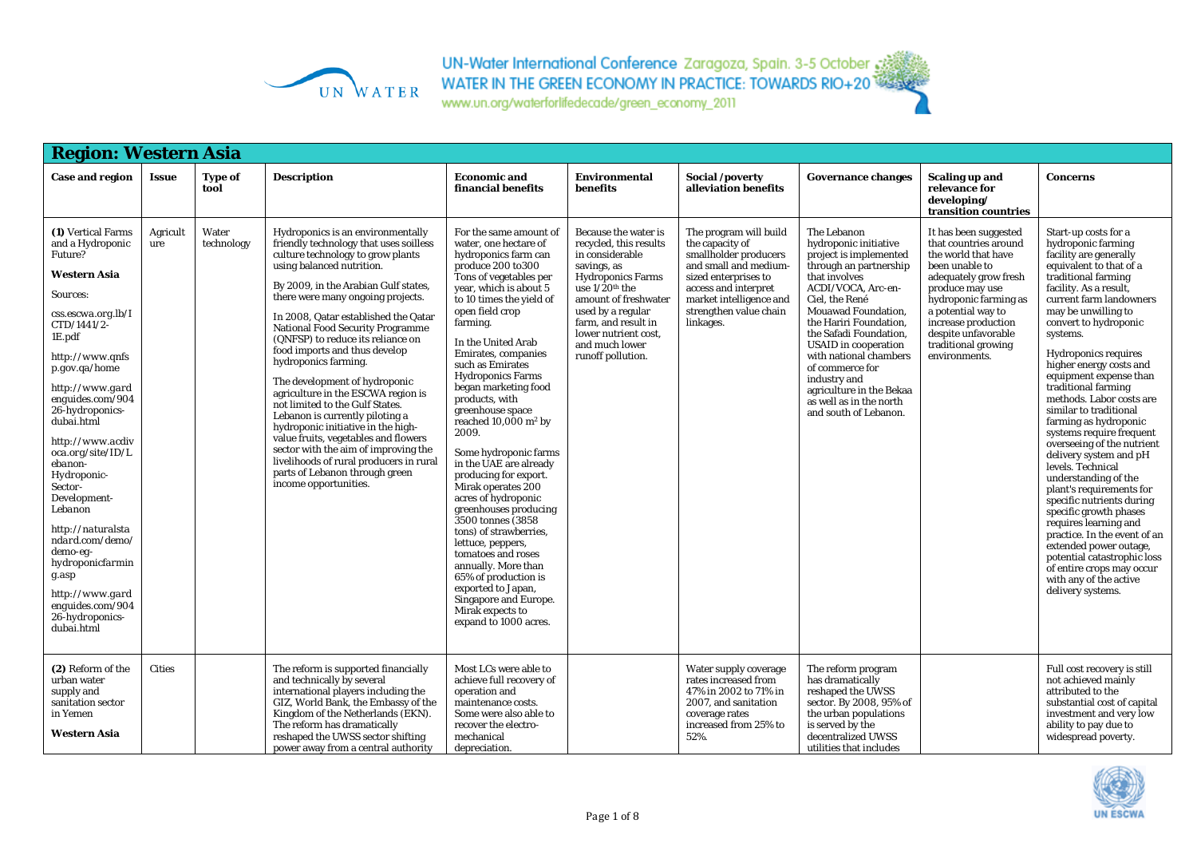

| <b>Region: Western Asia</b>                                                                                                                                                                                                                                                                                                                                                                                                                                                                                                 |                 |                     |                                                                                                                                                                                                                                                                                                                                                                                                                                                                                                                                                                                                                                                                                                                                                                                      |                                                                                                                                                                                                                                                                                                                                                                                                                                                                                                                                                                                                                                                                                                                                                                                                                |                                                                                                                                                                                                                                                                                          |                                                                                                                                                                                                               |                                                                                                                                                                                                                                                                                                                                                                                                          |                                                                                                                                                                                                                                                                          |                                                                                                                                                                                                                                                                                                                                                                                                                                                                                                                                                                                                                                                                                                                                                                                                                                                     |
|-----------------------------------------------------------------------------------------------------------------------------------------------------------------------------------------------------------------------------------------------------------------------------------------------------------------------------------------------------------------------------------------------------------------------------------------------------------------------------------------------------------------------------|-----------------|---------------------|--------------------------------------------------------------------------------------------------------------------------------------------------------------------------------------------------------------------------------------------------------------------------------------------------------------------------------------------------------------------------------------------------------------------------------------------------------------------------------------------------------------------------------------------------------------------------------------------------------------------------------------------------------------------------------------------------------------------------------------------------------------------------------------|----------------------------------------------------------------------------------------------------------------------------------------------------------------------------------------------------------------------------------------------------------------------------------------------------------------------------------------------------------------------------------------------------------------------------------------------------------------------------------------------------------------------------------------------------------------------------------------------------------------------------------------------------------------------------------------------------------------------------------------------------------------------------------------------------------------|------------------------------------------------------------------------------------------------------------------------------------------------------------------------------------------------------------------------------------------------------------------------------------------|---------------------------------------------------------------------------------------------------------------------------------------------------------------------------------------------------------------|----------------------------------------------------------------------------------------------------------------------------------------------------------------------------------------------------------------------------------------------------------------------------------------------------------------------------------------------------------------------------------------------------------|--------------------------------------------------------------------------------------------------------------------------------------------------------------------------------------------------------------------------------------------------------------------------|-----------------------------------------------------------------------------------------------------------------------------------------------------------------------------------------------------------------------------------------------------------------------------------------------------------------------------------------------------------------------------------------------------------------------------------------------------------------------------------------------------------------------------------------------------------------------------------------------------------------------------------------------------------------------------------------------------------------------------------------------------------------------------------------------------------------------------------------------------|
| Case and region                                                                                                                                                                                                                                                                                                                                                                                                                                                                                                             | Issue           | Type of<br>tool     | <b>Description</b>                                                                                                                                                                                                                                                                                                                                                                                                                                                                                                                                                                                                                                                                                                                                                                   | <b>Economic and</b><br>financial benefits                                                                                                                                                                                                                                                                                                                                                                                                                                                                                                                                                                                                                                                                                                                                                                      | Environmental<br>benefits                                                                                                                                                                                                                                                                | Social /poverty<br>alleviation benefits                                                                                                                                                                       | <b>Governance changes</b>                                                                                                                                                                                                                                                                                                                                                                                | <b>Scaling up and</b><br>relevance for<br>developing/<br>transition countries                                                                                                                                                                                            | <b>Concerns</b>                                                                                                                                                                                                                                                                                                                                                                                                                                                                                                                                                                                                                                                                                                                                                                                                                                     |
| (1) Vertical Farms<br>and a Hydroponic<br>Future?<br><b>Western Asia</b><br><i>Sources:</i><br>css.escwa.org.lb/I<br>$CTD/1441/2$ -<br>1E.pdf<br>http://www.qnfs<br>p.gov.qa/home<br>http://www.gard<br>enguides.com/904<br>26-hydroponics-<br>dubai.html<br>http://www.acdiv<br>oca.org/site/ID/L<br>ebanon-<br>Hydroponic-<br>Sector-<br>Development-<br>Lebanon<br>http://naturalsta<br>ndard.com/demo/<br>demo-eg-<br>hydroponicfarmin<br>g.asp<br>http://www.gard<br>enguides.com/904<br>26-hydroponics-<br>dubai.html | Agricult<br>ure | Water<br>technology | Hydroponics is an environmentally<br>friendly technology that uses soilless<br>culture technology to grow plants<br>using balanced nutrition.<br>By 2009, in the Arabian Gulf states,<br>there were many ongoing projects.<br>In 2008, Qatar established the Qatar<br><b>National Food Security Programme</b><br>(QNFSP) to reduce its reliance on<br>food imports and thus develop<br>hydroponics farming.<br>The development of hydroponic<br>agriculture in the ESCWA region is<br>not limited to the Gulf States.<br>Lebanon is currently piloting a<br>hydroponic initiative in the high-<br>value fruits, vegetables and flowers<br>sector with the aim of improving the<br>livelihoods of rural producers in rural<br>parts of Lebanon through green<br>income opportunities. | For the same amount of<br>water, one hectare of<br>hydroponics farm can<br>produce 200 to 300<br>Tons of vegetables per<br>year, which is about 5<br>to 10 times the yield of<br>open field crop<br>farming.<br>In the United Arab<br>Emirates, companies<br>such as Emirates<br><b>Hydroponics Farms</b><br>began marketing food<br>products, with<br>greenhouse space<br>reached $10,000$ m <sup>2</sup> by<br>2009.<br>Some hydroponic farms<br>in the UAE are already<br>producing for export.<br>Mirak operates 200<br>acres of hydroponic<br>greenhouses producing<br>3500 tonnes (3858)<br>tons) of strawberries,<br>lettuce, peppers,<br>tomatoes and roses<br>annually. More than<br>65% of production is<br>exported to Japan,<br>Singapore and Europe.<br>Mirak expects to<br>expand to 1000 acres. | Because the water is<br>recycled, this results<br>in considerable<br>savings, as<br><b>Hydroponics Farms</b><br>use $1/\overline{2}0^{\text{th}}$ the<br>amount of freshwater<br>used by a regular<br>farm, and result in<br>lower nutrient cost.<br>and much lower<br>runoff pollution. | The program will build<br>the capacity of<br>smallholder producers<br>and small and medium-<br>sized enterprises to<br>access and interpret<br>market intelligence and<br>strengthen value chain<br>linkages. | The Lebanon<br>hydroponic initiative<br>project is implemented<br>through an partnership<br>that involves<br>ACDI/VOCA, Arc-en-<br>Ciel. the René<br>Mouawad Foundation,<br>the Hariri Foundation,<br>the Safadi Foundation.<br><b>USAID</b> in cooperation<br>with national chambers<br>of commerce for<br>industry and<br>agriculture in the Bekaa<br>as well as in the north<br>and south of Lebanon. | It has been suggested<br>that countries around<br>the world that have<br>been unable to<br>adequately grow fresh<br>produce may use<br>hydroponic farming as<br>a potential way to<br>increase production<br>despite unfavorable<br>traditional growing<br>environments. | Start-up costs for a<br>hydroponic farming<br>facility are generally<br>equivalent to that of a<br>traditional farming<br>facility. As a result,<br>current farm landowners<br>may be unwilling to<br>convert to hydroponic<br>systems.<br><b>Hydroponics requires</b><br>higher energy costs and<br>equipment expense than<br>traditional farming<br>methods. Labor costs are<br>similar to traditional<br>farming as hydroponic<br>systems require frequent<br>overseeing of the nutrient<br>delivery system and pH<br>levels. Technical<br>understanding of the<br>plant's requirements for<br>specific nutrients during<br>specific growth phases<br>requires learning and<br>practice. In the event of an<br>extended power outage,<br>potential catastrophic loss<br>of entire crops may occur<br>with any of the active<br>delivery systems. |
| (2) Reform of the<br>urban water<br>supply and<br>sanitation sector<br>in Yemen<br>Western Asia                                                                                                                                                                                                                                                                                                                                                                                                                             | <b>Cities</b>   |                     | The reform is supported financially<br>and technically by several<br>international players including the<br>GIZ, World Bank, the Embassy of the<br>Kingdom of the Netherlands (EKN).<br>The reform has dramatically<br>reshaped the UWSS sector shifting<br>power away from a central authority                                                                                                                                                                                                                                                                                                                                                                                                                                                                                      | Most LCs were able to<br>achieve full recovery of<br>operation and<br>maintenance costs.<br>Some were also able to<br>recover the electro-<br>mechanical<br>depreciation.                                                                                                                                                                                                                                                                                                                                                                                                                                                                                                                                                                                                                                      |                                                                                                                                                                                                                                                                                          | Water supply coverage<br>rates increased from<br>47% in 2002 to 71% in<br>2007, and sanitation<br>coverage rates<br>increased from 25% to<br>52%.                                                             | The reform program<br>has dramatically<br>reshaped the UWSS<br>sector. By 2008, 95% of<br>the urban populations<br>is served by the<br>decentralized UWSS<br>utilities that includes                                                                                                                                                                                                                     |                                                                                                                                                                                                                                                                          | Full cost recovery is still<br>not achieved mainly<br>attributed to the<br>substantial cost of capital<br>investment and very low<br>ability to pay due to<br>widespread poverty.                                                                                                                                                                                                                                                                                                                                                                                                                                                                                                                                                                                                                                                                   |

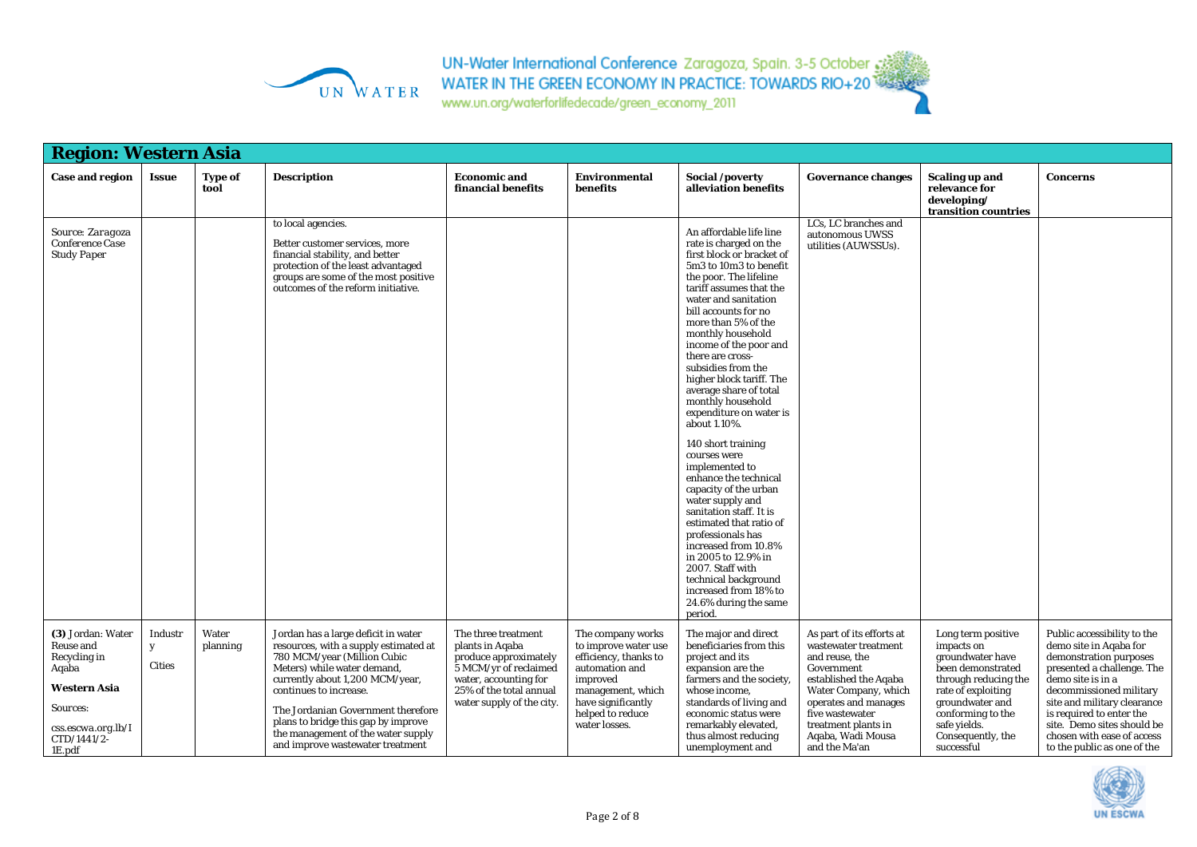

www.un.org/waterforlifedecade/green\_economy\_2011

|                                                                                                                                                                           | <b>Region: Western Asia</b>   |                        |                                                                                                                                                                                                                                                                                                                                                                |                                                                                                                                                                           |                                                                                                                                                                                  |                                                                                                                                                                                                                                                                                                                                                                                                                                                                           |                                                                                                                                                                                                                                            |                                                                                                                                                                                                                    |                                                                                                                                                                                                                                                                                                                     |  |  |
|---------------------------------------------------------------------------------------------------------------------------------------------------------------------------|-------------------------------|------------------------|----------------------------------------------------------------------------------------------------------------------------------------------------------------------------------------------------------------------------------------------------------------------------------------------------------------------------------------------------------------|---------------------------------------------------------------------------------------------------------------------------------------------------------------------------|----------------------------------------------------------------------------------------------------------------------------------------------------------------------------------|---------------------------------------------------------------------------------------------------------------------------------------------------------------------------------------------------------------------------------------------------------------------------------------------------------------------------------------------------------------------------------------------------------------------------------------------------------------------------|--------------------------------------------------------------------------------------------------------------------------------------------------------------------------------------------------------------------------------------------|--------------------------------------------------------------------------------------------------------------------------------------------------------------------------------------------------------------------|---------------------------------------------------------------------------------------------------------------------------------------------------------------------------------------------------------------------------------------------------------------------------------------------------------------------|--|--|
| <b>Case and region</b>                                                                                                                                                    | <b>Issue</b>                  | <b>Type of</b><br>tool | <b>Description</b>                                                                                                                                                                                                                                                                                                                                             | <b>Economic and</b><br>financial benefits                                                                                                                                 | <b>Environmental</b><br>benefits                                                                                                                                                 | Social /poverty<br>alleviation benefits                                                                                                                                                                                                                                                                                                                                                                                                                                   | <b>Governance changes</b>                                                                                                                                                                                                                  | <b>Scaling up and</b><br>relevance for<br>developing/<br>transition countries                                                                                                                                      | <b>Concerns</b>                                                                                                                                                                                                                                                                                                     |  |  |
| Source: Zaragoza<br>Conference Case<br><b>Study Paper</b>                                                                                                                 |                               |                        | to local agencies.<br>Better customer services, more<br>financial stability, and better<br>protection of the least advantaged<br>groups are some of the most positive<br>outcomes of the reform initiative.                                                                                                                                                    |                                                                                                                                                                           |                                                                                                                                                                                  | An affordable life line<br>rate is charged on the<br>first block or bracket of<br>5m3 to 10m3 to benefit<br>the poor. The lifeline<br>tariff assumes that the<br>water and sanitation<br>bill accounts for no<br>more than 5% of the<br>monthly household<br>income of the poor and<br>there are cross-<br>subsidies from the<br>higher block tariff. The<br>average share of total<br>monthly household<br>expenditure on water is<br>about 1.10%.<br>140 short training | LCs, LC branches and<br>autonomous UWSS<br>utilities (AUWSSUs).                                                                                                                                                                            |                                                                                                                                                                                                                    |                                                                                                                                                                                                                                                                                                                     |  |  |
|                                                                                                                                                                           |                               |                        |                                                                                                                                                                                                                                                                                                                                                                |                                                                                                                                                                           |                                                                                                                                                                                  | courses were<br>implemented to<br>enhance the technical<br>capacity of the urban<br>water supply and<br>sanitation staff. It is<br>estimated that ratio of<br>professionals has<br>increased from 10.8%<br>in 2005 to 12.9% in<br>2007. Staff with<br>technical background<br>increased from 18% to<br>24.6% during the same<br>period.                                                                                                                                   |                                                                                                                                                                                                                                            |                                                                                                                                                                                                                    |                                                                                                                                                                                                                                                                                                                     |  |  |
| (3) Jordan: Water<br>Reuse and<br>Recycling in<br>Aqaba<br><b>Western Asia</b><br>Sources:<br>$\mathit{css}.\mathit{escwa.org}.\mathit{lb}/I$<br>$CTD/1441/2$ -<br>1E.pdf | Industr<br>y<br><b>Cities</b> | Water<br>planning      | Jordan has a large deficit in water<br>resources, with a supply estimated at<br>780 MCM/year (Million Cubic<br>Meters) while water demand,<br>currently about 1,200 MCM/year,<br>continues to increase.<br>The Jordanian Government therefore<br>plans to bridge this gap by improve<br>the management of the water supply<br>and improve wastewater treatment | The three treatment<br>plants in Agaba<br>produce approximately<br>5 MCM/yr of reclaimed<br>water, accounting for<br>25% of the total annual<br>water supply of the city. | The company works<br>to improve water use<br>efficiency, thanks to<br>automation and<br>improved<br>management, which<br>have significantly<br>helped to reduce<br>water losses. | The major and direct<br>beneficiaries from this<br>project and its<br>expansion are the<br>farmers and the society,<br>whose income.<br>standards of living and<br>economic status were<br>remarkably elevated,<br>thus almost reducing<br>unemployment and                                                                                                                                                                                                               | As part of its efforts at<br>wastewater treatment<br>and reuse, the<br>Government<br>established the Aqaba<br>Water Company, which<br>operates and manages<br>five wastewater<br>treatment plants in<br>Aqaba, Wadi Mousa<br>and the Ma'an | Long term positive<br>impacts on<br>groundwater have<br>been demonstrated<br>through reducing the<br>rate of exploiting<br>groundwater and<br>conforming to the<br>safe yields.<br>Consequently, the<br>successful | Public accessibility to the<br>demo site in Agaba for<br>demonstration purposes<br>presented a challenge. The<br>demo site is in a<br>decommissioned military<br>site and military clearance<br>is required to enter the<br>site. Demo sites should be<br>chosen with ease of access<br>to the public as one of the |  |  |

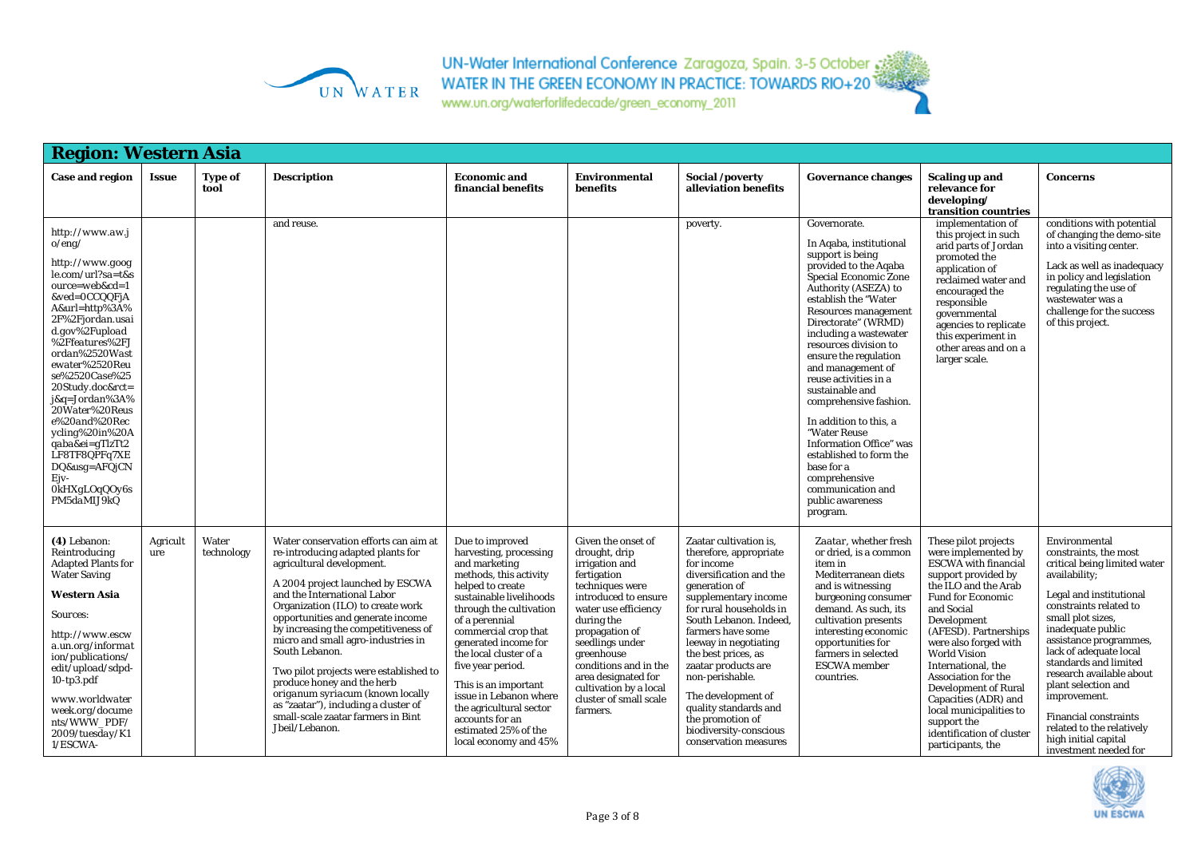

UN-Water International Conference Zaragoza, Spain. 3-5 October 33<br>WATER IN THE GREEN ECONOMY IN PRACTICE: TOWARDS RIO+20

| <b>Region: Western Asia</b>                                                                                                                                                                                                                                                                                                                                                                                                            |                 |                     |                                                                                                                                                                                                                                                                                                                                                                                                                                                                                                                                                                  |                                                                                                                                                                                                                                                                                                                                                                                                                                  |                                                                                                                                                                                                                                                                                                                          |                                                                                                                                                                                                                                                                                                                                                                                                                              |                                                                                                                                                                                                                                                                                                                                                                                                                                                                                                                                                                                       |                                                                                                                                                                                                                                                                                                                                                                                                                                                             |                                                                                                                                                                                                                                                                                                                                                                                                                                                      |
|----------------------------------------------------------------------------------------------------------------------------------------------------------------------------------------------------------------------------------------------------------------------------------------------------------------------------------------------------------------------------------------------------------------------------------------|-----------------|---------------------|------------------------------------------------------------------------------------------------------------------------------------------------------------------------------------------------------------------------------------------------------------------------------------------------------------------------------------------------------------------------------------------------------------------------------------------------------------------------------------------------------------------------------------------------------------------|----------------------------------------------------------------------------------------------------------------------------------------------------------------------------------------------------------------------------------------------------------------------------------------------------------------------------------------------------------------------------------------------------------------------------------|--------------------------------------------------------------------------------------------------------------------------------------------------------------------------------------------------------------------------------------------------------------------------------------------------------------------------|------------------------------------------------------------------------------------------------------------------------------------------------------------------------------------------------------------------------------------------------------------------------------------------------------------------------------------------------------------------------------------------------------------------------------|---------------------------------------------------------------------------------------------------------------------------------------------------------------------------------------------------------------------------------------------------------------------------------------------------------------------------------------------------------------------------------------------------------------------------------------------------------------------------------------------------------------------------------------------------------------------------------------|-------------------------------------------------------------------------------------------------------------------------------------------------------------------------------------------------------------------------------------------------------------------------------------------------------------------------------------------------------------------------------------------------------------------------------------------------------------|------------------------------------------------------------------------------------------------------------------------------------------------------------------------------------------------------------------------------------------------------------------------------------------------------------------------------------------------------------------------------------------------------------------------------------------------------|
| Case and region                                                                                                                                                                                                                                                                                                                                                                                                                        | <b>Issue</b>    | Type of<br>tool     | <b>Description</b>                                                                                                                                                                                                                                                                                                                                                                                                                                                                                                                                               | <b>Economic</b> and<br>financial benefits                                                                                                                                                                                                                                                                                                                                                                                        | <b>Environmental</b><br>benefits                                                                                                                                                                                                                                                                                         | Social /poverty<br>alleviation benefits                                                                                                                                                                                                                                                                                                                                                                                      | <b>Governance changes</b>                                                                                                                                                                                                                                                                                                                                                                                                                                                                                                                                                             | Scaling up and<br>relevance for<br>developing/<br>transition countries                                                                                                                                                                                                                                                                                                                                                                                      | <b>Concerns</b>                                                                                                                                                                                                                                                                                                                                                                                                                                      |
| http://www.aw.j<br>o/eng/<br>http://www.goog<br>le.com/url?sa=t&s<br>$ource = web\&cd=1$<br>&ved=0CCQQFjA<br>A&url=http%3A%<br>2F%2Fjordan.usai<br>$d.gov\%2Fupload$<br>%2Ffeatures%2FJ<br>ordan%2520Wast<br>ewater%2520Reu<br>se%2520Case%25<br>20Study.doc&rct=<br>j&q=Jordan%3A%<br>20Water%20Reus<br>e%20and%20Rec<br>ycling%20in%20A<br>qaba&ei=gTlzTt2<br>LF8TF8QPFq7XE<br>DQ&usg=AFQjCN<br>Ejv-<br>OkHXgLOqQOy6s<br>PM5daMIJ9kQ |                 |                     | and reuse.                                                                                                                                                                                                                                                                                                                                                                                                                                                                                                                                                       |                                                                                                                                                                                                                                                                                                                                                                                                                                  |                                                                                                                                                                                                                                                                                                                          | poverty.                                                                                                                                                                                                                                                                                                                                                                                                                     | Governorate.<br>In Aqaba, institutional<br>support is being<br>provided to the Aqaba<br>Special Economic Zone<br>Authority (ASEZA) to<br>establish the "Water<br><b>Resources management</b><br>Directorate" (WRMD)<br>including a wastewater<br>resources division to<br>ensure the regulation<br>and management of<br>reuse activities in a<br>sustainable and<br>comprehensive fashion.<br>In addition to this, a<br>"Water Reuse<br><b>Information Office"</b> was<br>established to form the<br>base for a<br>comprehensive<br>communication and<br>public awareness<br>program. | implementation of<br>this project in such<br>arid parts of Jordan<br>promoted the<br>application of<br>reclaimed water and<br>encouraged the<br>responsible<br>governmental<br>agencies to replicate<br>this experiment in<br>other areas and on a<br>larger scale.                                                                                                                                                                                         | conditions with potential<br>of changing the demo-site<br>into a visiting center.<br>Lack as well as inadequacy<br>in policy and legislation<br>regulating the use of<br>wastewater was a<br>challenge for the success<br>of this project.                                                                                                                                                                                                           |
| (4) Lebanon:<br>Reintroducing<br><b>Adapted Plants for</b><br><b>Water Saving</b><br><b>Western Asia</b><br>Sources:<br>http://www.escw<br>a.un.org/informat<br>ion/publications/<br>edit/upload/sdpd-<br>$10$ -tp $3$ .pd $f$<br>www.worldwater<br>week.org/docume<br>nts/WWW PDF/<br>2009/tuesday/K1<br>1/ESCWA-                                                                                                                     | Agricult<br>ure | Water<br>technology | Water conservation efforts can aim at<br>re-introducing adapted plants for<br>agricultural development.<br>A 2004 project launched by ESCWA<br>and the International Labor<br>Organization (ILO) to create work<br>opportunities and generate income<br>by increasing the competitiveness of<br>micro and small agro-industries in<br>South Lebanon.<br>Two pilot projects were established to<br>produce honey and the herb<br>origanum syriacum (known locally<br>as "zaatar"), including a cluster of<br>small-scale zaatar farmers in Bint<br>Jbeil/Lebanon. | Due to improved<br>harvesting, processing<br>and marketing<br>methods, this activity<br>helped to create<br>sustainable livelihoods<br>through the cultivation<br>of a perennial<br>commercial crop that<br>generated income for<br>the local cluster of a<br>five year period.<br>This is an important<br>issue in Lebanon where<br>the agricultural sector<br>accounts for an<br>estimated 25% of the<br>local economy and 45% | Given the onset of<br>drought, drip<br>irrigation and<br>fertigation<br>techniques were<br>introduced to ensure<br>water use efficiency<br>during the<br>propagation of<br>seedlings under<br>greenhouse<br>conditions and in the<br>area designated for<br>cultivation by a local<br>cluster of small scale<br>farmers. | Zaatar cultivation is,<br>therefore, appropriate<br>for income<br>diversification and the<br>generation of<br>supplementary income<br>for rural households in<br>South Lebanon. Indeed,<br>farmers have some<br>leeway in negotiating<br>the best prices, as<br>zaatar products are<br>non-perishable.<br>The development of<br>quality standards and<br>the promotion of<br>biodiversity-conscious<br>conservation measures | Zaatar, whether fresh<br>or dried, is a common<br>item in<br>Mediterranean diets<br>and is witnessing<br>burgeoning consumer<br>demand. As such, its<br>cultivation presents<br>interesting economic<br>opportunities for<br>farmers in selected<br><b>ESCWA</b> member<br>countries.                                                                                                                                                                                                                                                                                                 | These pilot projects<br>were implemented by<br><b>ESCWA</b> with financial<br>support provided by<br>the ILO and the Arab<br><b>Fund for Economic</b><br>and Social<br>Development<br>(AFESD). Partnerships<br>were also forged with<br><b>World Vision</b><br>International, the<br>Association for the<br><b>Development of Rural</b><br>Capacities (ADR) and<br>local municipalities to<br>support the<br>identification of cluster<br>participants, the | Environmental<br>constraints, the most<br>critical being limited water<br>availability;<br>Legal and institutional<br>constraints related to<br>small plot sizes,<br>inadequate public<br>assistance programmes,<br>lack of adequate local<br>standards and limited<br>research available about<br>plant selection and<br>improvement.<br><b>Financial constraints</b><br>related to the relatively<br>high initial capital<br>investment needed for |

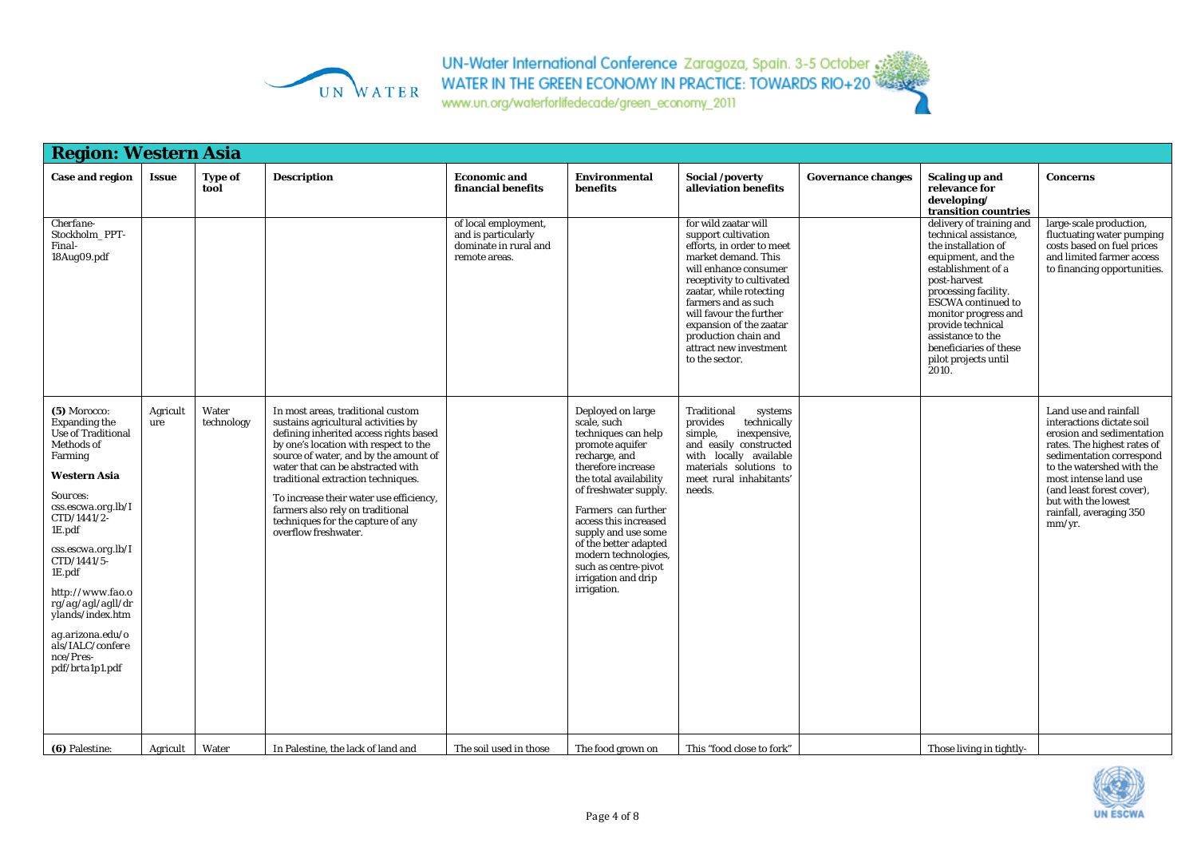

| <b>Region: Western Asia</b>                                                                                                                                                                                                                                                                                                                                             |                 |                        |                                                                                                                                                                                                                                                                                                                                                                                                                             |                                                                                       |                                                                                                                                                                                                                                                                                                                                                            |                                                                                                                                                                                                                                                                                                                                   |                           |                                                                                                                                                                                                                                                                                                                        |                                                                                                                                                                                                                                                                                           |
|-------------------------------------------------------------------------------------------------------------------------------------------------------------------------------------------------------------------------------------------------------------------------------------------------------------------------------------------------------------------------|-----------------|------------------------|-----------------------------------------------------------------------------------------------------------------------------------------------------------------------------------------------------------------------------------------------------------------------------------------------------------------------------------------------------------------------------------------------------------------------------|---------------------------------------------------------------------------------------|------------------------------------------------------------------------------------------------------------------------------------------------------------------------------------------------------------------------------------------------------------------------------------------------------------------------------------------------------------|-----------------------------------------------------------------------------------------------------------------------------------------------------------------------------------------------------------------------------------------------------------------------------------------------------------------------------------|---------------------------|------------------------------------------------------------------------------------------------------------------------------------------------------------------------------------------------------------------------------------------------------------------------------------------------------------------------|-------------------------------------------------------------------------------------------------------------------------------------------------------------------------------------------------------------------------------------------------------------------------------------------|
| <b>Case and region</b>                                                                                                                                                                                                                                                                                                                                                  | <b>Issue</b>    | <b>Type of</b><br>tool | <b>Description</b>                                                                                                                                                                                                                                                                                                                                                                                                          | <b>Economic and</b><br>financial benefits                                             | <b>Environmental</b><br>benefits                                                                                                                                                                                                                                                                                                                           | Social /poverty<br>alleviation benefits                                                                                                                                                                                                                                                                                           | <b>Governance changes</b> | <b>Scaling up and</b><br>relevance for<br>developing/<br>transition countries                                                                                                                                                                                                                                          | <b>Concerns</b>                                                                                                                                                                                                                                                                           |
| Cherfane-<br>Stockholm PPT-<br>Final-<br>18Aug09.pdf                                                                                                                                                                                                                                                                                                                    |                 |                        |                                                                                                                                                                                                                                                                                                                                                                                                                             | of local employment,<br>and is particularly<br>dominate in rural and<br>remote areas. |                                                                                                                                                                                                                                                                                                                                                            | for wild zaatar will<br>support cultivation<br>efforts, in order to meet<br>market demand. This<br>will enhance consumer<br>receptivity to cultivated<br>zaatar, while rotecting<br>farmers and as such<br>will favour the further<br>expansion of the zaatar<br>production chain and<br>attract new investment<br>to the sector. |                           | delivery of training and<br>technical assistance,<br>the installation of<br>equipment, and the<br>establishment of a<br>post-harvest<br>processing facility.<br><b>ESCWA</b> continued to<br>monitor progress and<br>provide technical<br>assistance to the<br>beneficiaries of these<br>pilot projects until<br>2010. | large-scale production,<br>fluctuating water pumping<br>costs based on fuel prices<br>and limited farmer access<br>to financing opportunities.                                                                                                                                            |
| (5) Morocco:<br><b>Expanding the</b><br><b>Use of Traditional</b><br>Methods of<br>Farming<br><b>Western Asia</b><br><i>Sources:</i><br>css.escwa.org.lb/I<br>CTD/1441/2-<br>1E.pdf<br>css.escwa.org.lb/I<br>CTD/1441/5-<br>1E.pdf<br>http://www.fao.o<br>rg/ag/agl/agll/dr<br>ylands/index.htm<br>ag.arizona.edu/o<br>als/IALC/confere<br>nce/Pres-<br>pdf/brta1p1.pdf | Agricult<br>ure | Water<br>technology    | In most areas, traditional custom<br>sustains agricultural activities by<br>defining inherited access rights based<br>by one's location with respect to the<br>source of water, and by the amount of<br>water that can be abstracted with<br>traditional extraction techniques.<br>To increase their water use efficiency,<br>farmers also rely on traditional<br>techniques for the capture of any<br>overflow freshwater. |                                                                                       | Deployed on large<br>scale, such<br>techniques can help<br>promote aquifer<br>recharge, and<br>therefore increase<br>the total availability<br>of freshwater supply.<br>Farmers can further<br>access this increased<br>supply and use some<br>of the better adapted<br>modern technologies,<br>such as centre-pivot<br>irrigation and drip<br>irrigation. | Traditional<br>systems<br>provides<br>technically<br>simple,<br>inexpensive,<br>and easily constructed<br>with locally available<br>materials solutions to<br>meet rural inhabitants'<br>needs.                                                                                                                                   |                           |                                                                                                                                                                                                                                                                                                                        | Land use and rainfall<br>interactions dictate soil<br>erosion and sedimentation<br>rates. The highest rates of<br>sedimentation correspond<br>to the watershed with the<br>most intense land use<br>(and least forest cover),<br>but with the lowest<br>rainfall, averaging 350<br>mm/yr. |
| (6) Palestine:                                                                                                                                                                                                                                                                                                                                                          | Agricult        | Water                  | In Palestine, the lack of land and                                                                                                                                                                                                                                                                                                                                                                                          | The soil used in those                                                                | The food grown on                                                                                                                                                                                                                                                                                                                                          | This "food close to fork"                                                                                                                                                                                                                                                                                                         |                           | Those living in tightly-                                                                                                                                                                                                                                                                                               |                                                                                                                                                                                                                                                                                           |

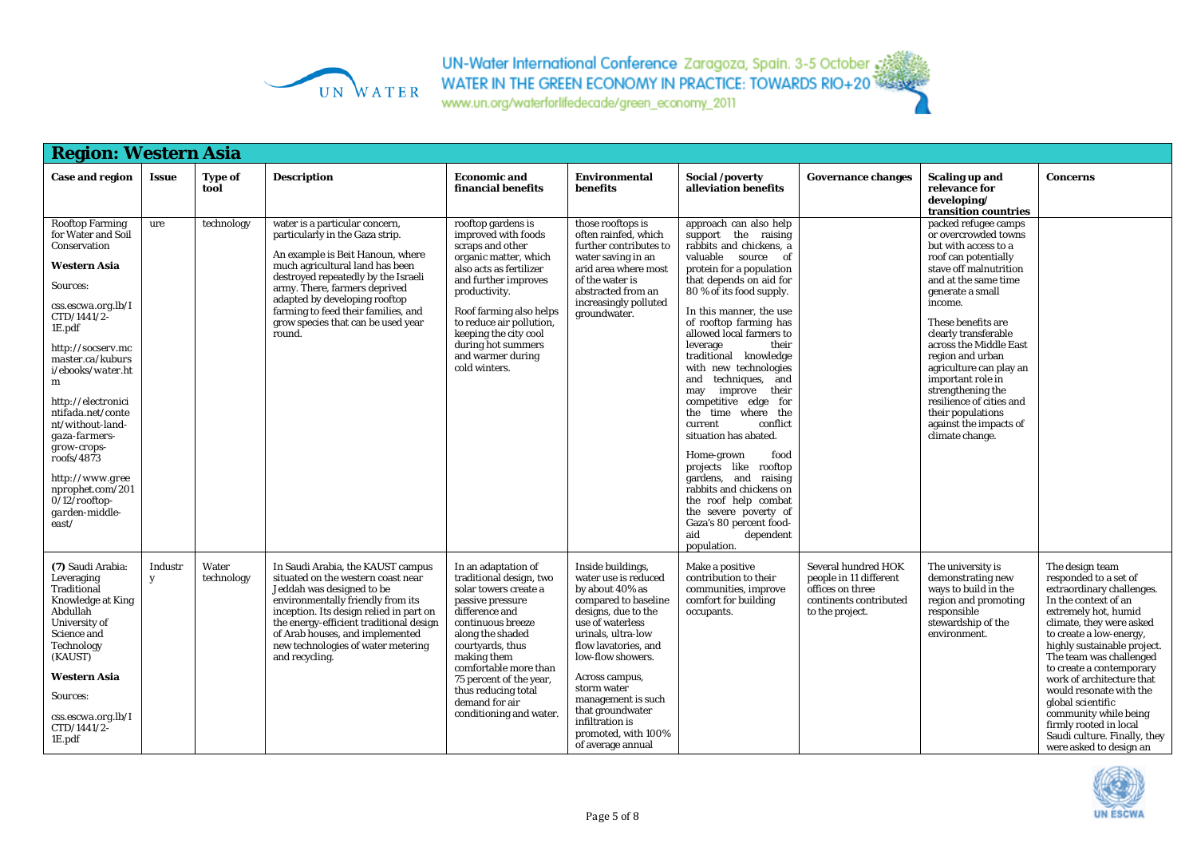

www.un.org/waterforlifedecade/green\_economy\_2011

| <b>Region: Western Asia</b>                                                                                                                                                                                                                                                                                                                                                                                          |              |                        |                                                                                                                                                                                                                                                                                                                                          |                                                                                                                                                                                                                                                                                                                   |                                                                                                                                                                                                                                                                                                                                              |                                                                                                                                                                                                                                                                                                                                                                                                                                                                                                                                                                                                                                                                                                                                |                                                                                                                |                                                                                                                                                                                                                                                                                                                                                                                                                                              |                                                                                                                                                                                                                                                                                                                                                                                                                                                               |
|----------------------------------------------------------------------------------------------------------------------------------------------------------------------------------------------------------------------------------------------------------------------------------------------------------------------------------------------------------------------------------------------------------------------|--------------|------------------------|------------------------------------------------------------------------------------------------------------------------------------------------------------------------------------------------------------------------------------------------------------------------------------------------------------------------------------------|-------------------------------------------------------------------------------------------------------------------------------------------------------------------------------------------------------------------------------------------------------------------------------------------------------------------|----------------------------------------------------------------------------------------------------------------------------------------------------------------------------------------------------------------------------------------------------------------------------------------------------------------------------------------------|--------------------------------------------------------------------------------------------------------------------------------------------------------------------------------------------------------------------------------------------------------------------------------------------------------------------------------------------------------------------------------------------------------------------------------------------------------------------------------------------------------------------------------------------------------------------------------------------------------------------------------------------------------------------------------------------------------------------------------|----------------------------------------------------------------------------------------------------------------|----------------------------------------------------------------------------------------------------------------------------------------------------------------------------------------------------------------------------------------------------------------------------------------------------------------------------------------------------------------------------------------------------------------------------------------------|---------------------------------------------------------------------------------------------------------------------------------------------------------------------------------------------------------------------------------------------------------------------------------------------------------------------------------------------------------------------------------------------------------------------------------------------------------------|
| <b>Case and region</b>                                                                                                                                                                                                                                                                                                                                                                                               | <b>Issue</b> | <b>Type of</b><br>tool | <b>Description</b>                                                                                                                                                                                                                                                                                                                       | <b>Economic and</b><br>financial benefits                                                                                                                                                                                                                                                                         | <b>Environmental</b><br>benefits                                                                                                                                                                                                                                                                                                             | Social /poverty<br>alleviation benefits                                                                                                                                                                                                                                                                                                                                                                                                                                                                                                                                                                                                                                                                                        | <b>Governance changes</b>                                                                                      | <b>Scaling up and</b><br>relevance for<br>developing/<br>transition countries                                                                                                                                                                                                                                                                                                                                                                | <b>Concerns</b>                                                                                                                                                                                                                                                                                                                                                                                                                                               |
| <b>Rooftop Farming</b><br>for Water and Soil<br>Conservation<br>Western Asia<br><i>Sources:</i><br>css.escwa.org.lb/I<br>CTD/1441/2-<br>1E.pdf<br>http://socserv.mc<br>master.ca/kuburs<br>i/ebooks/water.ht<br>m<br>http://electronici<br>ntifada.net/conte<br>nt/without-land-<br>gaza-farmers-<br>grow-crops-<br>roofs/4873<br>http://www.gree<br>nprophet.com/201<br>$0/12$ /rooftop-<br>garden-middle-<br>east/ | ure          | technology             | water is a particular concern,<br>particularly in the Gaza strip.<br>An example is Beit Hanoun, where<br>much agricultural land has been<br>destroyed repeatedly by the Israeli<br>army. There, farmers deprived<br>adapted by developing rooftop<br>farming to feed their families, and<br>grow species that can be used year<br>round. | rooftop gardens is<br>improved with foods<br>scraps and other<br>organic matter, which<br>also acts as fertilizer<br>and further improves<br>productivity.<br>Roof farming also helps<br>to reduce air pollution.<br>keeping the city cool<br>during hot summers<br>and warmer during<br>cold winters.            | those rooftops is<br>often rainfed, which<br>further contributes to<br>water saving in an<br>arid area where most<br>of the water is<br>abstracted from an<br>increasingly polluted<br>groundwater.                                                                                                                                          | approach can also help<br>support the raising<br>rabbits and chickens, a<br>valuable source<br><sub>of</sub><br>protein for a population<br>that depends on aid for<br>80 % of its food supply.<br>In this manner, the use<br>of rooftop farming has<br>allowed local farmers to<br>their<br>leverage<br>traditional knowledge<br>with new technologies<br>techniques, and<br>and<br>improve<br>their<br>may<br>competitive edge for<br>the time where<br>the<br>current<br>conflict<br>situation has abated.<br>Home-grown<br>food<br>projects like rooftop<br>gardens, and raising<br>rabbits and chickens on<br>the roof help combat<br>the severe poverty of<br>Gaza's 80 percent food-<br>aid<br>dependent<br>population. |                                                                                                                | packed refugee camps<br>or overcrowded towns<br>but with access to a<br>roof can potentially<br>stave off malnutrition<br>and at the same time<br>generate a small<br>income.<br>These benefits are<br>clearly transferable<br>across the Middle East<br>region and urban<br>agriculture can play an<br>important role in<br>strengthening the<br>resilience of cities and<br>their populations<br>against the impacts of<br>climate change. |                                                                                                                                                                                                                                                                                                                                                                                                                                                               |
| (7) Saudi Arabia:<br>Leveraging<br>Traditional<br>Knowledge at King<br>Abdullah<br>University of<br>Science and<br>Technology<br>(KAUST)<br>Western Asia<br><i>Sources:</i><br>css.escwa.org.lb/I<br>CTD/1441/2-<br>1E.pdf                                                                                                                                                                                           | Industr<br>y | Water<br>technology    | In Saudi Arabia, the KAUST campus<br>situated on the western coast near<br>Jeddah was designed to be<br>environmentally friendly from its<br>inception. Its design relied in part on<br>the energy-efficient traditional design<br>of Arab houses, and implemented<br>new technologies of water metering<br>and recycling.               | In an adaptation of<br>traditional design, two<br>solar towers create a<br>passive pressure<br>difference and<br>continuous breeze<br>along the shaded<br>courtyards, thus<br>making them<br>comfortable more than<br>75 percent of the year,<br>thus reducing total<br>demand for air<br>conditioning and water. | Inside buildings,<br>water use is reduced<br>by about 40% as<br>compared to baseline<br>designs, due to the<br>use of waterless<br>urinals, ultra-low<br>flow lavatories, and<br>low-flow showers.<br>Across campus,<br>storm water<br>management is such<br>that groundwater<br>infiltration is<br>promoted, with 100%<br>of average annual | Make a positive<br>contribution to their<br>communities, improve<br>comfort for building<br>occupants.                                                                                                                                                                                                                                                                                                                                                                                                                                                                                                                                                                                                                         | Several hundred HOK<br>people in 11 different<br>offices on three<br>continents contributed<br>to the project. | The university is<br>demonstrating new<br>ways to build in the<br>region and promoting<br>responsible<br>stewardship of the<br>environment.                                                                                                                                                                                                                                                                                                  | The design team<br>responded to a set of<br>extraordinary challenges.<br>In the context of an<br>extremely hot, humid<br>climate, they were asked<br>to create a low-energy,<br>highly sustainable project.<br>The team was challenged<br>to create a contemporary<br>work of architecture that<br>would resonate with the<br>global scientific<br>community while being<br>firmly rooted in local<br>Saudi culture. Finally, they<br>were asked to design an |

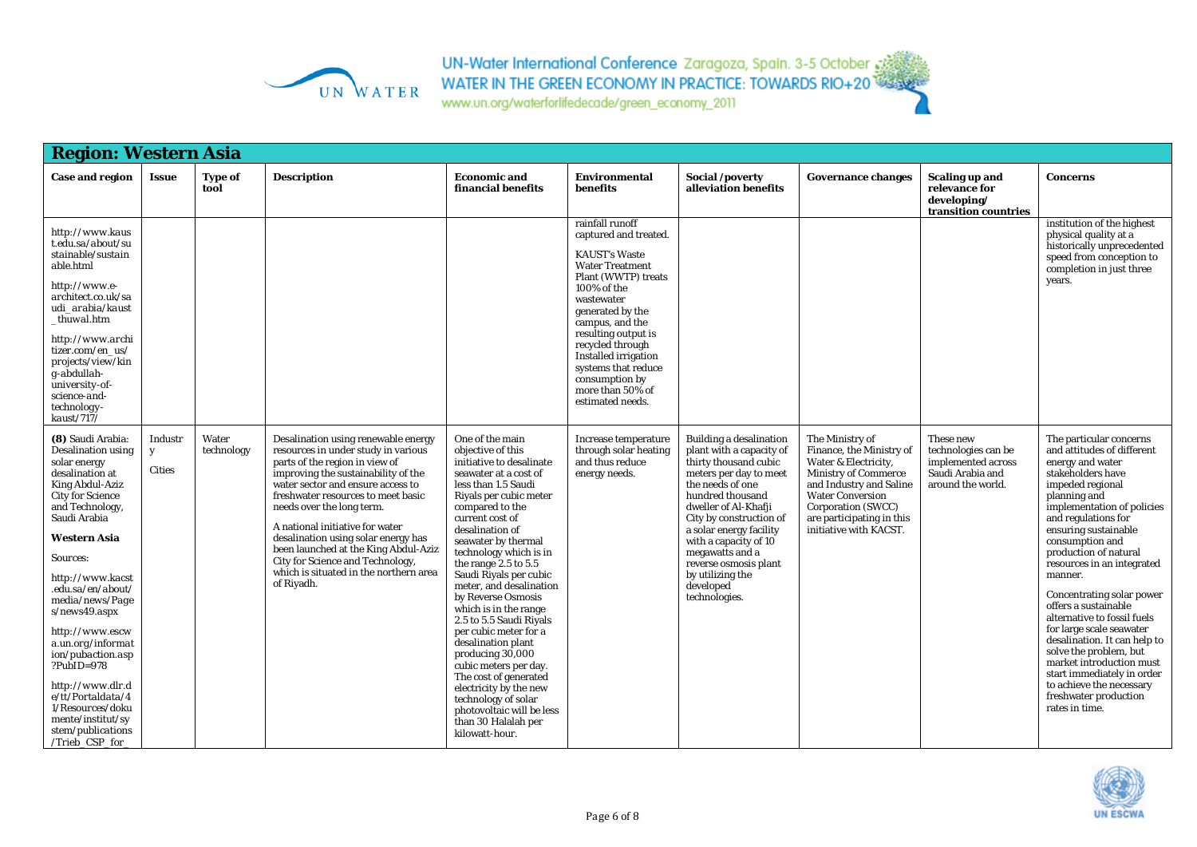

| <b>Region: Western Asia</b>                                                                                                                                                                                                                                                                                                                                                                                                                                                                           |                               |                        |                                                                                                                                                                                                                                                                                                                                                                                                                                                                           |                                                                                                                                                                                                                                                                                                                                                                                                                                                                                                                                                                                                                                                             |                                                                                                                                                                                                                                                                                                                                           |                                                                                                                                                                                                                                                                                                                                                            |                                                                                                                                                                                                                                       |                                                                                                 |                                                                                                                                                                                                                                                                                                                                                                                                                                                                                                                                                                                                                 |
|-------------------------------------------------------------------------------------------------------------------------------------------------------------------------------------------------------------------------------------------------------------------------------------------------------------------------------------------------------------------------------------------------------------------------------------------------------------------------------------------------------|-------------------------------|------------------------|---------------------------------------------------------------------------------------------------------------------------------------------------------------------------------------------------------------------------------------------------------------------------------------------------------------------------------------------------------------------------------------------------------------------------------------------------------------------------|-------------------------------------------------------------------------------------------------------------------------------------------------------------------------------------------------------------------------------------------------------------------------------------------------------------------------------------------------------------------------------------------------------------------------------------------------------------------------------------------------------------------------------------------------------------------------------------------------------------------------------------------------------------|-------------------------------------------------------------------------------------------------------------------------------------------------------------------------------------------------------------------------------------------------------------------------------------------------------------------------------------------|------------------------------------------------------------------------------------------------------------------------------------------------------------------------------------------------------------------------------------------------------------------------------------------------------------------------------------------------------------|---------------------------------------------------------------------------------------------------------------------------------------------------------------------------------------------------------------------------------------|-------------------------------------------------------------------------------------------------|-----------------------------------------------------------------------------------------------------------------------------------------------------------------------------------------------------------------------------------------------------------------------------------------------------------------------------------------------------------------------------------------------------------------------------------------------------------------------------------------------------------------------------------------------------------------------------------------------------------------|
| <b>Case and region</b>                                                                                                                                                                                                                                                                                                                                                                                                                                                                                | <b>Issue</b>                  | <b>Type of</b><br>tool | <b>Description</b>                                                                                                                                                                                                                                                                                                                                                                                                                                                        | <b>Economic and</b><br>financial benefits                                                                                                                                                                                                                                                                                                                                                                                                                                                                                                                                                                                                                   | <b>Environmental</b><br>benefits                                                                                                                                                                                                                                                                                                          | Social /poverty<br>alleviation benefits                                                                                                                                                                                                                                                                                                                    | <b>Governance changes</b>                                                                                                                                                                                                             | <b>Scaling up and</b><br>relevance for<br>developing/<br>transition countries                   | <b>Concerns</b>                                                                                                                                                                                                                                                                                                                                                                                                                                                                                                                                                                                                 |
| http://www.kaus<br>t.edu.sa/about/su<br>stainable/sustain<br>able.html<br>http://www.e-<br>architect.co.uk/sa<br>udi arabia/kaust<br>thuwal.htm<br>http://www.archi<br>tizer.com/en us/<br>projects/view/kin<br>$g$ -abdullah-<br>university-of-<br>science-and-<br>technology-<br>kaust/717/                                                                                                                                                                                                         |                               |                        |                                                                                                                                                                                                                                                                                                                                                                                                                                                                           |                                                                                                                                                                                                                                                                                                                                                                                                                                                                                                                                                                                                                                                             | rainfall runoff<br>captured and treated.<br><b>KAUST's Waste</b><br><b>Water Treatment</b><br>Plant (WWTP) treats<br>100% of the<br>wastewater<br>generated by the<br>campus, and the<br>resulting output is<br>recycled through<br>Installed irrigation<br>systems that reduce<br>consumption by<br>more than 50% of<br>estimated needs. |                                                                                                                                                                                                                                                                                                                                                            |                                                                                                                                                                                                                                       |                                                                                                 | institution of the highest<br>physical quality at a<br>historically unprecedented<br>speed from conception to<br>completion in just three<br>vears.                                                                                                                                                                                                                                                                                                                                                                                                                                                             |
| (8) Saudi Arabia:<br><b>Desalination using</b><br>solar energy<br>desalination at<br><b>King Abdul-Aziz</b><br><b>City for Science</b><br>and Technology,<br>Saudi Arabia<br><b>Western Asia</b><br>Sources:<br>http://www.kacst<br>.edu.sa/en/about/<br>media/news/Page<br>s/news49.aspx<br>http://www.escw<br>a.un.org/informat<br>ion/pubaction.asp<br>$?PubID = 978$<br>http://www.dlr.d<br>$e/tt$ /Portaldata/4<br>1/Resources/doku<br>mente/institut/sy<br>stem/publications<br>/Trieb_CSP_for_ | Industr<br>y<br><b>Cities</b> | Water<br>technology    | Desalination using renewable energy<br>resources in under study in various<br>parts of the region in view of<br>improving the sustainability of the<br>water sector and ensure access to<br>freshwater resources to meet basic<br>needs over the long term.<br>A national initiative for water<br>desalination using solar energy has<br>been launched at the King Abdul-Aziz<br>City for Science and Technology,<br>which is situated in the northern area<br>of Riyadh. | One of the main<br>objective of this<br>initiative to desalinate<br>seawater at a cost of<br>less than 1.5 Saudi<br>Riyals per cubic meter<br>compared to the<br>current cost of<br>desalination of<br>seawater by thermal<br>technology which is in<br>the range $2.5$ to $5.5$<br>Saudi Riyals per cubic<br>meter, and desalination<br>by Reverse Osmosis<br>which is in the range<br>2.5 to 5.5 Saudi Riyals<br>per cubic meter for a<br>desalination plant<br>producing 30,000<br>cubic meters per day.<br>The cost of generated<br>electricity by the new<br>technology of solar<br>photovoltaic will be less<br>than 30 Halalah per<br>kilowatt-hour. | Increase temperature<br>through solar heating<br>and thus reduce<br>energy needs.                                                                                                                                                                                                                                                         | <b>Building a desalination</b><br>plant with a capacity of<br>thirty thousand cubic<br>meters per day to meet<br>the needs of one<br>hundred thousand<br>dweller of Al-Khafji<br>City by construction of<br>a solar energy facility<br>with a capacity of 10<br>megawatts and a<br>reverse osmosis plant<br>by utilizing the<br>developed<br>technologies. | The Ministry of<br>Finance, the Ministry of<br>Water & Electricity,<br><b>Ministry of Commerce</b><br>and Industry and Saline<br><b>Water Conversion</b><br>Corporation (SWCC)<br>are participating in this<br>initiative with KACST. | These new<br>technologies can be<br>implemented across<br>Saudi Arabia and<br>around the world. | The particular concerns<br>and attitudes of different<br>energy and water<br>stakeholders have<br>impeded regional<br>planning and<br>implementation of policies<br>and regulations for<br>ensuring sustainable<br>consumption and<br>production of natural<br>resources in an integrated<br>manner.<br>Concentrating solar power<br>offers a sustainable<br>alternative to fossil fuels<br>for large scale seawater<br>desalination. It can help to<br>solve the problem, but<br>market introduction must<br>start immediately in order<br>to achieve the necessary<br>freshwater production<br>rates in time. |

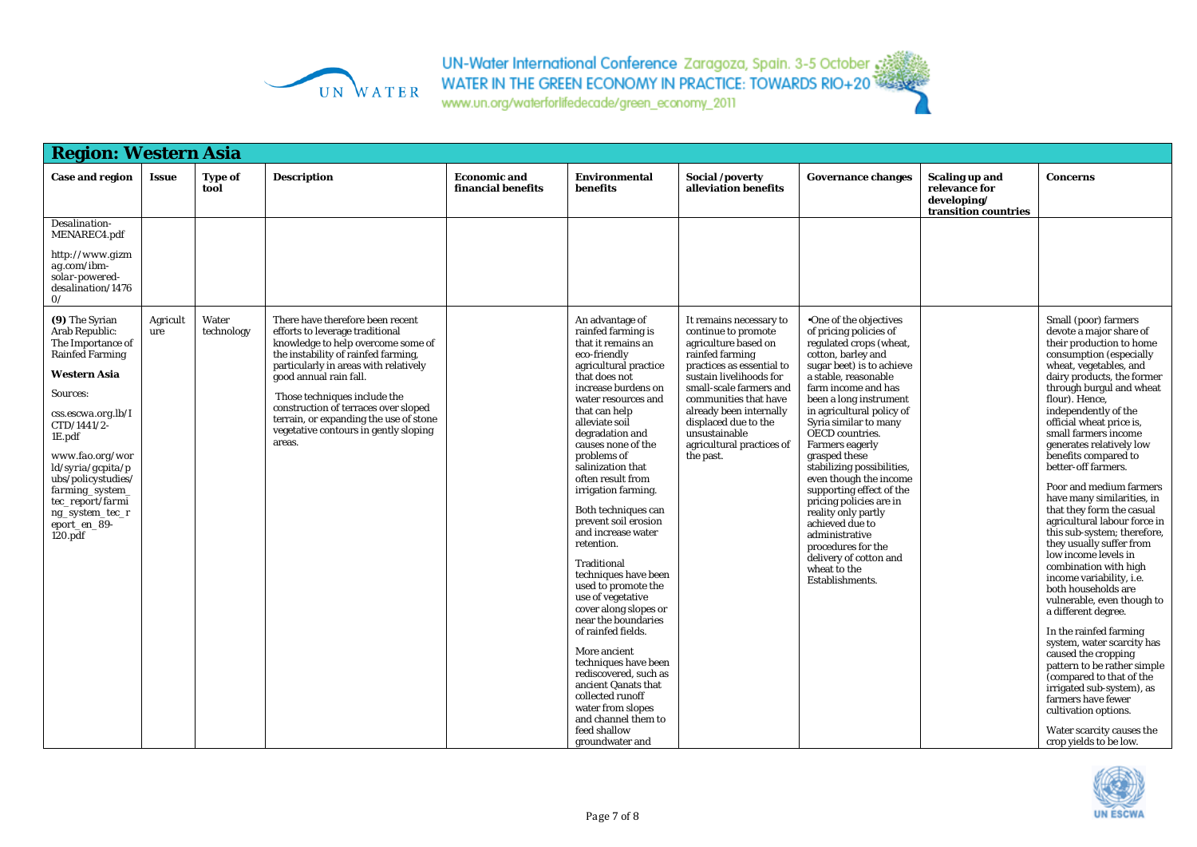

UN-Water International Conference Zaragoza, Spain. 3-5 October 33<br>WATER IN THE GREEN ECONOMY IN PRACTICE: TOWARDS RIO+20

| <b>Region: Western Asia</b>                                                                                                                                                                                                                                                                                                                                          |                 |                        |                                                                                                                                                                                           |                                           |                                                                                                                                                                                                                                                                                                                                                                                |                                                                                                                                     |                                                                                                                                                                                                                                                                                                                                                                                                          |                                                                               |                                                                                                                                                                                                                                                                                                                                                                                                                                                                                                                 |
|----------------------------------------------------------------------------------------------------------------------------------------------------------------------------------------------------------------------------------------------------------------------------------------------------------------------------------------------------------------------|-----------------|------------------------|-------------------------------------------------------------------------------------------------------------------------------------------------------------------------------------------|-------------------------------------------|--------------------------------------------------------------------------------------------------------------------------------------------------------------------------------------------------------------------------------------------------------------------------------------------------------------------------------------------------------------------------------|-------------------------------------------------------------------------------------------------------------------------------------|----------------------------------------------------------------------------------------------------------------------------------------------------------------------------------------------------------------------------------------------------------------------------------------------------------------------------------------------------------------------------------------------------------|-------------------------------------------------------------------------------|-----------------------------------------------------------------------------------------------------------------------------------------------------------------------------------------------------------------------------------------------------------------------------------------------------------------------------------------------------------------------------------------------------------------------------------------------------------------------------------------------------------------|
| <b>Case and region</b>                                                                                                                                                                                                                                                                                                                                               | <b>Issue</b>    | <b>Type of</b><br>tool | <b>Description</b>                                                                                                                                                                        | <b>Economic and</b><br>financial benefits | <b>Environmental</b><br><b>benefits</b>                                                                                                                                                                                                                                                                                                                                        | Social /poverty<br>alleviation benefits                                                                                             | <b>Governance changes</b>                                                                                                                                                                                                                                                                                                                                                                                | <b>Scaling up and</b><br>relevance for<br>developing/<br>transition countries | <b>Concerns</b>                                                                                                                                                                                                                                                                                                                                                                                                                                                                                                 |
| Desalination-<br>MENAREC4.pdf                                                                                                                                                                                                                                                                                                                                        |                 |                        |                                                                                                                                                                                           |                                           |                                                                                                                                                                                                                                                                                                                                                                                |                                                                                                                                     |                                                                                                                                                                                                                                                                                                                                                                                                          |                                                                               |                                                                                                                                                                                                                                                                                                                                                                                                                                                                                                                 |
| http://www.gizm<br>ag.com/ibm-<br>solar-powered-<br>desalination/1476<br>$\mathcal{O}/$                                                                                                                                                                                                                                                                              |                 |                        |                                                                                                                                                                                           |                                           |                                                                                                                                                                                                                                                                                                                                                                                |                                                                                                                                     |                                                                                                                                                                                                                                                                                                                                                                                                          |                                                                               |                                                                                                                                                                                                                                                                                                                                                                                                                                                                                                                 |
| (9) The Syrian<br>Arab Republic:<br>The Importance of<br><b>Rainfed Farming</b>                                                                                                                                                                                                                                                                                      | Agricult<br>ure | Water<br>technology    | There have therefore been recent<br>efforts to leverage traditional<br>knowledge to help overcome some of<br>the instability of rainfed farming,<br>particularly in areas with relatively |                                           | An advantage of<br>rainfed farming is<br>that it remains an<br>eco-friendly<br>agricultural practice                                                                                                                                                                                                                                                                           | It remains necessary to<br>continue to promote<br>agriculture based on<br>rainfed farming<br>practices as essential to              | •One of the objectives<br>of pricing policies of<br>regulated crops (wheat,<br>cotton, barley and<br>sugar beet) is to achieve                                                                                                                                                                                                                                                                           |                                                                               | Small (poor) farmers<br>devote a major share of<br>their production to home<br>consumption (especially<br>wheat, vegetables, and                                                                                                                                                                                                                                                                                                                                                                                |
| <b>Western Asia</b>                                                                                                                                                                                                                                                                                                                                                  |                 |                        | good annual rain fall.                                                                                                                                                                    |                                           | that does not<br>increase burdens on                                                                                                                                                                                                                                                                                                                                           | sustain livelihoods for<br>small-scale farmers and                                                                                  | a stable, reasonable<br>farm income and has                                                                                                                                                                                                                                                                                                                                                              |                                                                               | dairy products, the former<br>through burgul and wheat                                                                                                                                                                                                                                                                                                                                                                                                                                                          |
| Sources:<br>$\ensuremath{\mathit{css}}\xspace.\ensuremath{\mathit{escwa}}\xspace.\ensuremath{\mathit{org}}\xspace.\ensuremath{\mathit{lb}}\xspace/\ensuremath{\mathit{I}}\xspace$<br>$CTD/1441/2$ -<br>1E.pdf<br>www.fao.org/wor<br>$\frac{Id}{syna/ecp}$<br>ubs/policystudies/<br>farming_system_<br>tec_report/farmi<br>ng_system_tec_r<br>eport_en_89-<br>120.pdf |                 |                        | Those techniques include the<br>construction of terraces over sloped<br>terrain, or expanding the use of stone<br>vegetative contours in gently sloping<br>areas.                         |                                           | water resources and<br>that can help<br>alleviate soil<br>degradation and<br>causes none of the<br>problems of<br>salinization that<br>often result from<br>irrigation farming.<br>Both techniques can<br>prevent soil erosion<br>and increase water<br>retention.<br>Traditional<br>techniques have been<br>used to promote the<br>use of vegetative<br>cover along slopes or | communities that have<br>already been internally<br>displaced due to the<br>unsustainable<br>agricultural practices of<br>the past. | been a long instrument<br>in agricultural policy of<br>Syria similar to many<br>OECD countries.<br><b>Farmers eagerly</b><br>grasped these<br>stabilizing possibilities,<br>even though the income<br>supporting effect of the<br>pricing policies are in<br>reality only partly<br>achieved due to<br>administrative<br>procedures for the<br>delivery of cotton and<br>wheat to the<br>Establishments. |                                                                               | flour). Hence,<br>independently of the<br>official wheat price is,<br>small farmers income<br>generates relatively low<br>benefits compared to<br>better-off farmers.<br>Poor and medium farmers<br>have many similarities, in<br>that they form the casual<br>agricultural labour force in<br>this sub-system; therefore,<br>they usually suffer from<br>low income levels in<br>combination with high<br>income variability, i.e.<br>both households are<br>vulnerable, even though to<br>a different degree. |
|                                                                                                                                                                                                                                                                                                                                                                      |                 |                        |                                                                                                                                                                                           |                                           | near the boundaries<br>of rainfed fields.<br>More ancient<br>techniques have been<br>rediscovered, such as<br>ancient Qanats that<br>collected runoff<br>water from slopes<br>and channel them to<br>feed shallow<br>groundwater and                                                                                                                                           |                                                                                                                                     |                                                                                                                                                                                                                                                                                                                                                                                                          |                                                                               | In the rainfed farming<br>system, water scarcity has<br>caused the cropping<br>pattern to be rather simple<br>(compared to that of the<br>irrigated sub-system), as<br>farmers have fewer<br>cultivation options.<br>Water scarcity causes the<br>crop yields to be low.                                                                                                                                                                                                                                        |